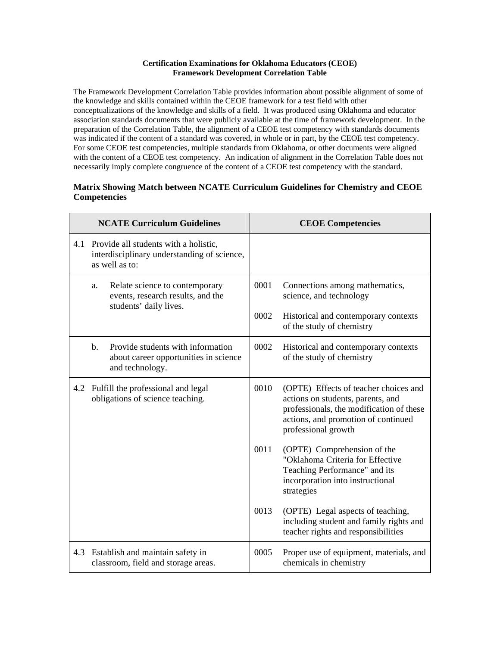## **Certification Examinations for Oklahoma Educators (CEOE) Framework Development Correlation Table**

The Framework Development Correlation Table provides information about possible alignment of some of the knowledge and skills contained within the CEOE framework for a test field with other conceptualizations of the knowledge and skills of a field. It was produced using Oklahoma and educator association standards documents that were publicly available at the time of framework development. In the preparation of the Correlation Table, the alignment of a CEOE test competency with standards documents was indicated if the content of a standard was covered, in whole or in part, by the CEOE test competency. For some CEOE test competencies, multiple standards from Oklahoma, or other documents were aligned with the content of a CEOE test competency. An indication of alignment in the Correlation Table does not necessarily imply complete congruence of the content of a CEOE test competency with the standard.

## **Matrix Showing Match between NCATE Curriculum Guidelines for Chemistry and CEOE Competencies**

| <b>NCATE Curriculum Guidelines</b> |                                                                                                                 | <b>CEOE Competencies</b> |                                                                                                                                                                                      |
|------------------------------------|-----------------------------------------------------------------------------------------------------------------|--------------------------|--------------------------------------------------------------------------------------------------------------------------------------------------------------------------------------|
|                                    | 4.1 Provide all students with a holistic,<br>interdisciplinary understanding of science,<br>as well as to:      |                          |                                                                                                                                                                                      |
|                                    | Relate science to contemporary<br>a.<br>events, research results, and the<br>students' daily lives.             | 0001                     | Connections among mathematics,<br>science, and technology                                                                                                                            |
|                                    |                                                                                                                 | 0002                     | Historical and contemporary contexts<br>of the study of chemistry                                                                                                                    |
|                                    | Provide students with information<br>$\mathbf{b}$ .<br>about career opportunities in science<br>and technology. | 0002                     | Historical and contemporary contexts<br>of the study of chemistry                                                                                                                    |
|                                    | 4.2 Fulfill the professional and legal<br>obligations of science teaching.                                      |                          | (OPTE) Effects of teacher choices and<br>actions on students, parents, and<br>professionals, the modification of these<br>actions, and promotion of continued<br>professional growth |
|                                    |                                                                                                                 | 0011                     | (OPTE) Comprehension of the<br>"Oklahoma Criteria for Effective<br>Teaching Performance" and its<br>incorporation into instructional<br>strategies                                   |
|                                    |                                                                                                                 | 0013                     | (OPTE) Legal aspects of teaching,<br>including student and family rights and<br>teacher rights and responsibilities                                                                  |
|                                    | 4.3 Establish and maintain safety in<br>classroom, field and storage areas.                                     | 0005                     | Proper use of equipment, materials, and<br>chemicals in chemistry                                                                                                                    |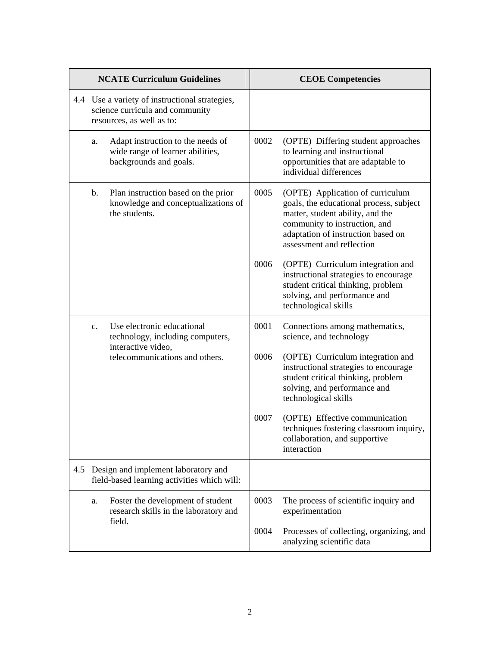| <b>NCATE Curriculum Guidelines</b> |                                                                                                                | <b>CEOE</b> Competencies                                                                        |      |                                                                                                                                                                                                                     |
|------------------------------------|----------------------------------------------------------------------------------------------------------------|-------------------------------------------------------------------------------------------------|------|---------------------------------------------------------------------------------------------------------------------------------------------------------------------------------------------------------------------|
|                                    | 4.4 Use a variety of instructional strategies,<br>science curricula and community<br>resources, as well as to: |                                                                                                 |      |                                                                                                                                                                                                                     |
|                                    | a.                                                                                                             | Adapt instruction to the needs of<br>wide range of learner abilities,<br>backgrounds and goals. | 0002 | (OPTE) Differing student approaches<br>to learning and instructional<br>opportunities that are adaptable to<br>individual differences                                                                               |
|                                    | b.                                                                                                             | Plan instruction based on the prior<br>knowledge and conceptualizations of<br>the students.     | 0005 | (OPTE) Application of curriculum<br>goals, the educational process, subject<br>matter, student ability, and the<br>community to instruction, and<br>adaptation of instruction based on<br>assessment and reflection |
|                                    |                                                                                                                |                                                                                                 | 0006 | (OPTE) Curriculum integration and<br>instructional strategies to encourage<br>student critical thinking, problem<br>solving, and performance and<br>technological skills                                            |
|                                    | $\mathbf{c}$ .                                                                                                 | Use electronic educational<br>technology, including computers,<br>interactive video,            | 0001 | Connections among mathematics,<br>science, and technology                                                                                                                                                           |
|                                    |                                                                                                                | telecommunications and others.                                                                  | 0006 | (OPTE) Curriculum integration and<br>instructional strategies to encourage<br>student critical thinking, problem<br>solving, and performance and<br>technological skills                                            |
|                                    |                                                                                                                |                                                                                                 | 0007 | (OPTE) Effective communication<br>techniques fostering classroom inquiry,<br>collaboration, and supportive<br>interaction                                                                                           |
| 4.5                                |                                                                                                                | Design and implement laboratory and<br>field-based learning activities which will:              |      |                                                                                                                                                                                                                     |
|                                    | a.                                                                                                             | Foster the development of student<br>research skills in the laboratory and                      | 0003 | The process of scientific inquiry and<br>experimentation                                                                                                                                                            |
|                                    |                                                                                                                | field.                                                                                          | 0004 | Processes of collecting, organizing, and<br>analyzing scientific data                                                                                                                                               |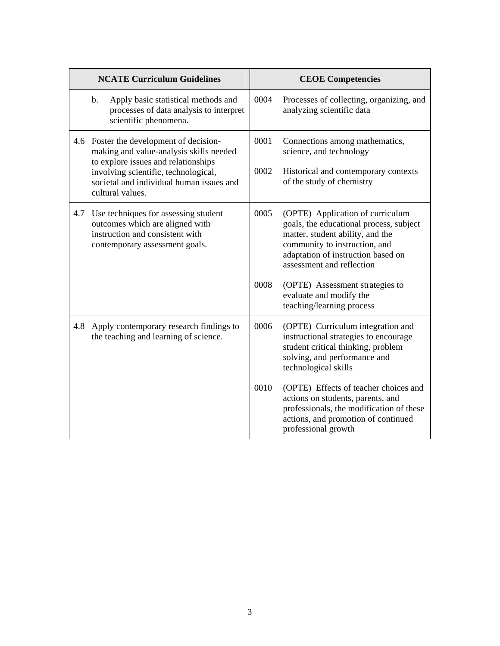|     | <b>NCATE Curriculum Guidelines</b>                                                                                                                                                                                                |              | <b>CEOE Competencies</b>                                                                                                                                                                                            |
|-----|-----------------------------------------------------------------------------------------------------------------------------------------------------------------------------------------------------------------------------------|--------------|---------------------------------------------------------------------------------------------------------------------------------------------------------------------------------------------------------------------|
|     | Apply basic statistical methods and<br>$\mathbf b$ .<br>processes of data analysis to interpret<br>scientific phenomena.                                                                                                          | 0004         | Processes of collecting, organizing, and<br>analyzing scientific data                                                                                                                                               |
|     | 4.6 Foster the development of decision-<br>making and value-analysis skills needed<br>to explore issues and relationships<br>involving scientific, technological,<br>societal and individual human issues and<br>cultural values. | 0001<br>0002 | Connections among mathematics,<br>science, and technology<br>Historical and contemporary contexts<br>of the study of chemistry                                                                                      |
| 4.7 | Use techniques for assessing student<br>outcomes which are aligned with<br>instruction and consistent with<br>contemporary assessment goals.                                                                                      | 0005         | (OPTE) Application of curriculum<br>goals, the educational process, subject<br>matter, student ability, and the<br>community to instruction, and<br>adaptation of instruction based on<br>assessment and reflection |
|     |                                                                                                                                                                                                                                   | 0008         | (OPTE) Assessment strategies to<br>evaluate and modify the<br>teaching/learning process                                                                                                                             |
| 4.8 | Apply contemporary research findings to<br>the teaching and learning of science.                                                                                                                                                  | 0006         | (OPTE) Curriculum integration and<br>instructional strategies to encourage<br>student critical thinking, problem<br>solving, and performance and<br>technological skills                                            |
|     |                                                                                                                                                                                                                                   | 0010         | (OPTE) Effects of teacher choices and<br>actions on students, parents, and<br>professionals, the modification of these<br>actions, and promotion of continued<br>professional growth                                |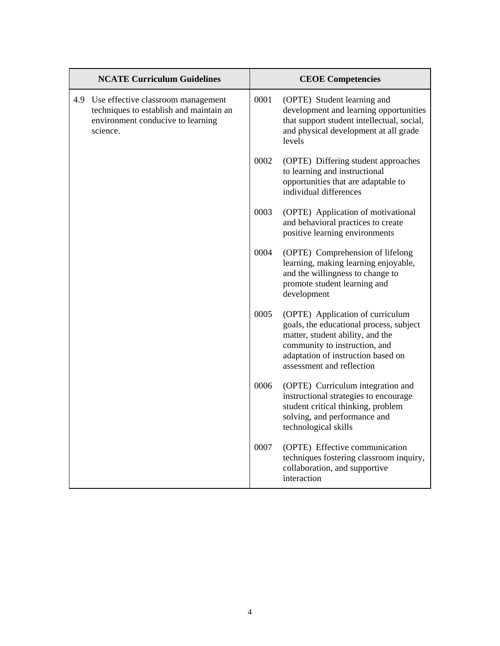| <b>NCATE Curriculum Guidelines</b> |                                                                                                                                | <b>CEOE Competencies</b> |                                                                                                                                                                                                                     |
|------------------------------------|--------------------------------------------------------------------------------------------------------------------------------|--------------------------|---------------------------------------------------------------------------------------------------------------------------------------------------------------------------------------------------------------------|
| 4.9                                | Use effective classroom management<br>techniques to establish and maintain an<br>environment conducive to learning<br>science. | 0001                     | (OPTE) Student learning and<br>development and learning opportunities<br>that support student intellectual, social,<br>and physical development at all grade<br>levels                                              |
|                                    |                                                                                                                                | 0002                     | (OPTE) Differing student approaches<br>to learning and instructional<br>opportunities that are adaptable to<br>individual differences                                                                               |
|                                    |                                                                                                                                | 0003                     | (OPTE) Application of motivational<br>and behavioral practices to create<br>positive learning environments                                                                                                          |
|                                    |                                                                                                                                | 0004                     | (OPTE) Comprehension of lifelong<br>learning, making learning enjoyable,<br>and the willingness to change to<br>promote student learning and<br>development                                                         |
|                                    |                                                                                                                                | 0005                     | (OPTE) Application of curriculum<br>goals, the educational process, subject<br>matter, student ability, and the<br>community to instruction, and<br>adaptation of instruction based on<br>assessment and reflection |
|                                    |                                                                                                                                | 0006                     | (OPTE) Curriculum integration and<br>instructional strategies to encourage<br>student critical thinking, problem<br>solving, and performance and<br>technological skills                                            |
|                                    |                                                                                                                                | 0007                     | (OPTE) Effective communication<br>techniques fostering classroom inquiry,<br>collaboration, and supportive<br>interaction                                                                                           |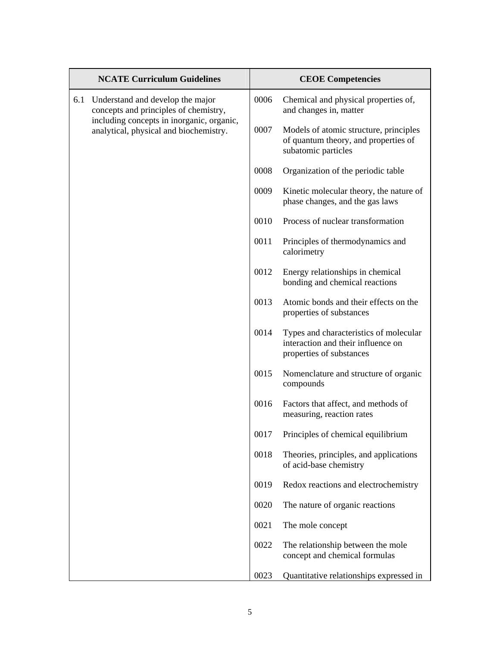|     | <b>NCATE Curriculum Guidelines</b>                                                                                                                               |      | <b>CEOE</b> Competencies                                                                                 |
|-----|------------------------------------------------------------------------------------------------------------------------------------------------------------------|------|----------------------------------------------------------------------------------------------------------|
| 6.1 | Understand and develop the major<br>concepts and principles of chemistry,<br>including concepts in inorganic, organic,<br>analytical, physical and biochemistry. | 0006 | Chemical and physical properties of,<br>and changes in, matter                                           |
|     |                                                                                                                                                                  | 0007 | Models of atomic structure, principles<br>of quantum theory, and properties of<br>subatomic particles    |
|     |                                                                                                                                                                  | 0008 | Organization of the periodic table                                                                       |
|     |                                                                                                                                                                  | 0009 | Kinetic molecular theory, the nature of<br>phase changes, and the gas laws                               |
|     |                                                                                                                                                                  | 0010 | Process of nuclear transformation                                                                        |
|     |                                                                                                                                                                  | 0011 | Principles of thermodynamics and<br>calorimetry                                                          |
|     |                                                                                                                                                                  | 0012 | Energy relationships in chemical<br>bonding and chemical reactions                                       |
|     |                                                                                                                                                                  | 0013 | Atomic bonds and their effects on the<br>properties of substances                                        |
|     |                                                                                                                                                                  | 0014 | Types and characteristics of molecular<br>interaction and their influence on<br>properties of substances |
|     |                                                                                                                                                                  | 0015 | Nomenclature and structure of organic<br>compounds                                                       |
|     |                                                                                                                                                                  | 0016 | Factors that affect, and methods of<br>measuring, reaction rates                                         |
|     |                                                                                                                                                                  | 0017 | Principles of chemical equilibrium                                                                       |
|     |                                                                                                                                                                  | 0018 | Theories, principles, and applications<br>of acid-base chemistry                                         |
|     |                                                                                                                                                                  | 0019 | Redox reactions and electrochemistry                                                                     |
|     |                                                                                                                                                                  | 0020 | The nature of organic reactions                                                                          |
|     |                                                                                                                                                                  | 0021 | The mole concept                                                                                         |
|     |                                                                                                                                                                  | 0022 | The relationship between the mole<br>concept and chemical formulas                                       |
|     |                                                                                                                                                                  | 0023 | Quantitative relationships expressed in                                                                  |